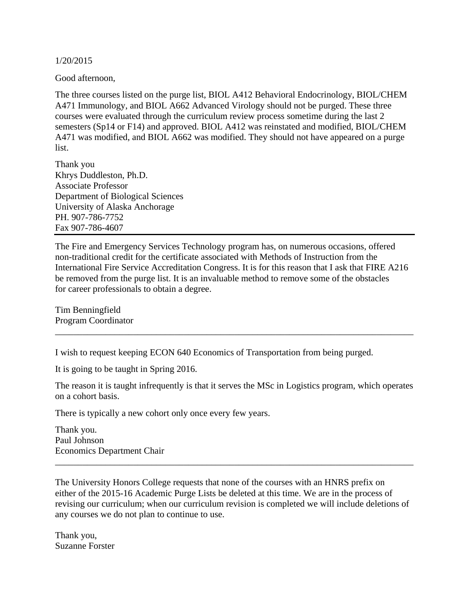#### 1/20/2015

Good afternoon,

The three courses listed on the purge list, BIOL A412 Behavioral Endocrinology, BIOL/CHEM A471 Immunology, and BIOL A662 Advanced Virology should not be purged. These three courses were evaluated through the curriculum review process sometime during the last 2 semesters (Sp14 or F14) and approved. BIOL A412 was reinstated and modified, BIOL/CHEM A471 was modified, and BIOL A662 was modified. They should not have appeared on a purge list.

Thank you Khrys Duddleston, Ph.D. Associate Professor Department of Biological Sciences University of Alaska Anchorage PH. 907-786-7752 Fax 907-786-4607

The Fire and Emergency Services Technology program has, on numerous occasions, offered non-traditional credit for the certificate associated with Methods of Instruction from the International Fire Service Accreditation Congress. It is for this reason that I ask that FIRE A216 be removed from the purge list. It is an invaluable method to remove some of the obstacles for career professionals to obtain a degree.

Tim Benningfield Program Coordinator

I wish to request keeping ECON 640 Economics of Transportation from being purged.

It is going to be taught in Spring 2016.

The reason it is taught infrequently is that it serves the MSc in Logistics program, which operates on a cohort basis.

\_\_\_\_\_\_\_\_\_\_\_\_\_\_\_\_\_\_\_\_\_\_\_\_\_\_\_\_\_\_\_\_\_\_\_\_\_\_\_\_\_\_\_\_\_\_\_\_\_\_\_\_\_\_\_\_\_\_\_\_\_\_\_\_\_\_\_\_\_\_\_\_\_\_\_\_\_\_

There is typically a new cohort only once every few years.

Thank you. Paul Johnson Economics Department Chair

The University Honors College requests that none of the courses with an HNRS prefix on either of the 2015-16 Academic Purge Lists be deleted at this time. We are in the process of revising our curriculum; when our curriculum revision is completed we will include deletions of any courses we do not plan to continue to use.

\_\_\_\_\_\_\_\_\_\_\_\_\_\_\_\_\_\_\_\_\_\_\_\_\_\_\_\_\_\_\_\_\_\_\_\_\_\_\_\_\_\_\_\_\_\_\_\_\_\_\_\_\_\_\_\_\_\_\_\_\_\_\_\_\_\_\_\_\_\_\_\_\_\_\_\_\_\_

Thank you, Suzanne Forster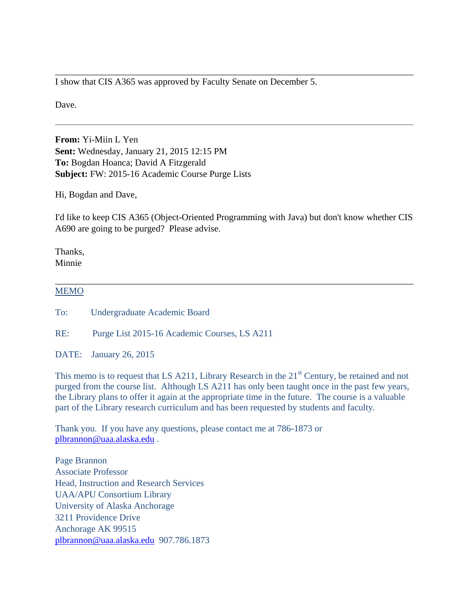I show that CIS A365 was approved by Faculty Senate on December 5.

Dave.

**From:** Yi-Miin L Yen **Sent:** Wednesday, January 21, 2015 12:15 PM **To:** Bogdan Hoanca; David A Fitzgerald **Subject:** FW: 2015-16 Academic Course Purge Lists

Hi, Bogdan and Dave,

I'd like to keep CIS A365 (Object-Oriented Programming with Java) but don't know whether CIS A690 are going to be purged? Please advise.

\_\_\_\_\_\_\_\_\_\_\_\_\_\_\_\_\_\_\_\_\_\_\_\_\_\_\_\_\_\_\_\_\_\_\_\_\_\_\_\_\_\_\_\_\_\_\_\_\_\_\_\_\_\_\_\_\_\_\_\_\_\_\_\_\_\_\_\_\_\_\_\_\_\_\_\_\_\_

\_\_\_\_\_\_\_\_\_\_\_\_\_\_\_\_\_\_\_\_\_\_\_\_\_\_\_\_\_\_\_\_\_\_\_\_\_\_\_\_\_\_\_\_\_\_\_\_\_\_\_\_\_\_\_\_\_\_\_\_\_\_\_\_\_\_\_\_\_\_\_\_\_\_\_\_\_\_

Thanks, Minnie

## MEMO

To: Undergraduate Academic Board

RE: Purge List 2015-16 Academic Courses, LS A211

DATE: January 26, 2015

This memo is to request that LS A211, Library Research in the 21<sup>st</sup> Century, be retained and not purged from the course list. Although LS A211 has only been taught once in the past few years, the Library plans to offer it again at the appropriate time in the future. The course is a valuable part of the Library research curriculum and has been requested by students and faculty.

Thank you. If you have any questions, please contact me at 786-1873 or plbrannon@uaa.alaska.edu .

Page Brannon Associate Professor Head, Instruction and Research Services UAA/APU Consortium Library University of Alaska Anchorage 3211 Providence Drive Anchorage AK 99515 plbrannon@uaa.alaska.edu 907.786.1873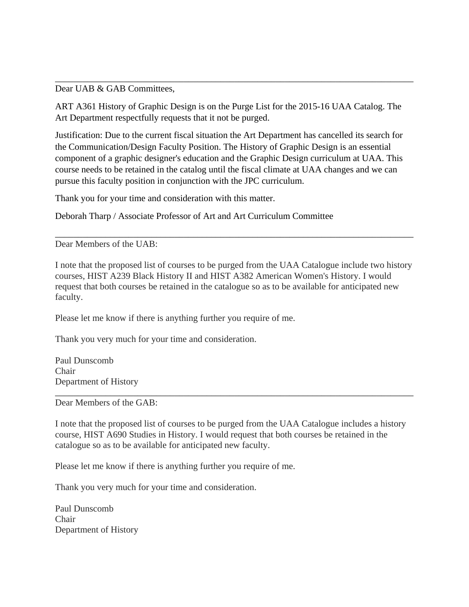Dear UAB & GAB Committees.

ART A361 History of Graphic Design is on the Purge List for the 2015-16 UAA Catalog. The Art Department respectfully requests that it not be purged.

\_\_\_\_\_\_\_\_\_\_\_\_\_\_\_\_\_\_\_\_\_\_\_\_\_\_\_\_\_\_\_\_\_\_\_\_\_\_\_\_\_\_\_\_\_\_\_\_\_\_\_\_\_\_\_\_\_\_\_\_\_\_\_\_\_\_\_\_\_\_\_\_\_\_\_\_\_\_

Justification: Due to the current fiscal situation the Art Department has cancelled its search for the Communication/Design Faculty Position. The History of Graphic Design is an essential component of a graphic designer's education and the Graphic Design curriculum at UAA. This course needs to be retained in the catalog until the fiscal climate at UAA changes and we can pursue this faculty position in conjunction with the JPC curriculum.

Thank you for your time and consideration with this matter.

Deborah Tharp / Associate Professor of Art and Art Curriculum Committee

Dear Members of the UAB:

I note that the proposed list of courses to be purged from the UAA Catalogue include two history courses, HIST A239 Black History II and HIST A382 American Women's History. I would request that both courses be retained in the catalogue so as to be available for anticipated new faculty.

\_\_\_\_\_\_\_\_\_\_\_\_\_\_\_\_\_\_\_\_\_\_\_\_\_\_\_\_\_\_\_\_\_\_\_\_\_\_\_\_\_\_\_\_\_\_\_\_\_\_\_\_\_\_\_\_\_\_\_\_\_\_\_\_\_\_\_\_\_\_\_\_\_\_\_\_\_\_

Please let me know if there is anything further you require of me.

Thank you very much for your time and consideration.

Paul Dunscomb Chair Department of History

Dear Members of the GAB:

I note that the proposed list of courses to be purged from the UAA Catalogue includes a history course, HIST A690 Studies in History. I would request that both courses be retained in the catalogue so as to be available for anticipated new faculty.

\_\_\_\_\_\_\_\_\_\_\_\_\_\_\_\_\_\_\_\_\_\_\_\_\_\_\_\_\_\_\_\_\_\_\_\_\_\_\_\_\_\_\_\_\_\_\_\_\_\_\_\_\_\_\_\_\_\_\_\_\_\_\_\_\_\_\_\_\_\_\_\_\_\_\_\_\_\_

Please let me know if there is anything further you require of me.

Thank you very much for your time and consideration.

Paul Dunscomb Chair Department of History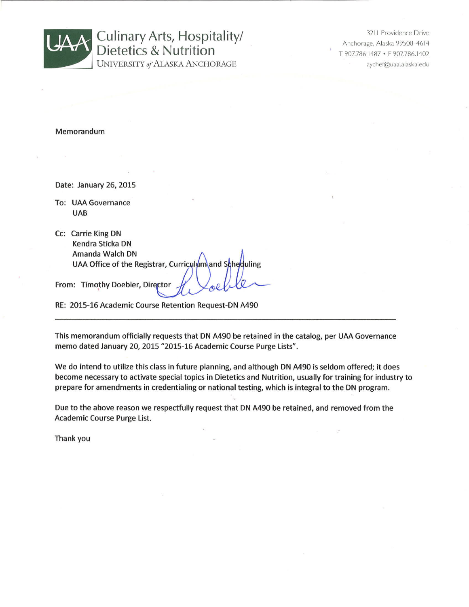

Culinary Arts, Hospitality/<br>Dietetics & Nutrition **UNIVERSITY of ALASKA ANCHORAGE** 

3211 Providence Drive Anchorage, Alaska 99508-4614 T 907.786.1487 · F 907.786.1402 aychef@uaa.alaska.edu

Memorandum

Date: January 26, 2015

To: UAA Governance **UAB** 

Cc: Carrie King DN Kendra Sticka DN Amanda Walch DN UAA Office of the Registrar, Curriculum\and Scheduling

From: Timothy Doebler, Director

RE: 2015-16 Academic Course Retention Request-DN A490

This memorandum officially requests that DN A490 be retained in the catalog, per UAA Governance memo dated January 20, 2015 "2015-16 Academic Course Purge Lists".

We do intend to utilize this class in future planning, and although DN A490 is seldom offered; it does become necessary to activate special topics in Dietetics and Nutrition, usually for training for industry to prepare for amendments in credentialing or national testing, which is integral to the DN program.

Due to the above reason we respectfully request that DN A490 be retained, and removed from the Academic Course Purge List.

Thank you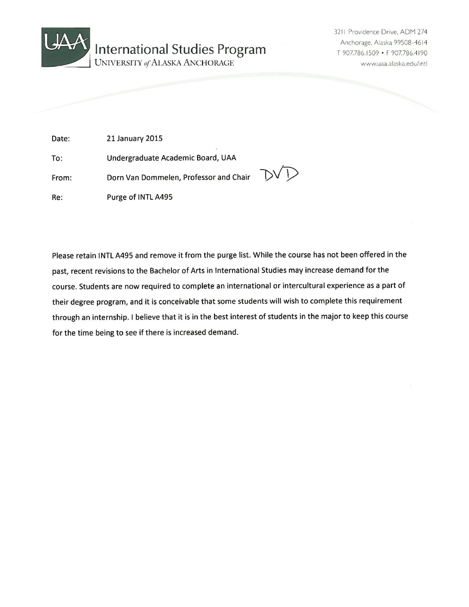

**International Studies Program UNIVERSITY of ALASKA ANCHORAGE** 

3211 Providence Drive, ADM 274 Anchorage, Alaska 99508-4614 T 907.786.1509 • F 907.786.4190 www.uaa.alaska.edu/intl

Date: 21 January 2015 Undergraduate Academic Board, UAA To: Dorn Van Dommelen, Professor and Chair From: Purge of INTL A495 Re:

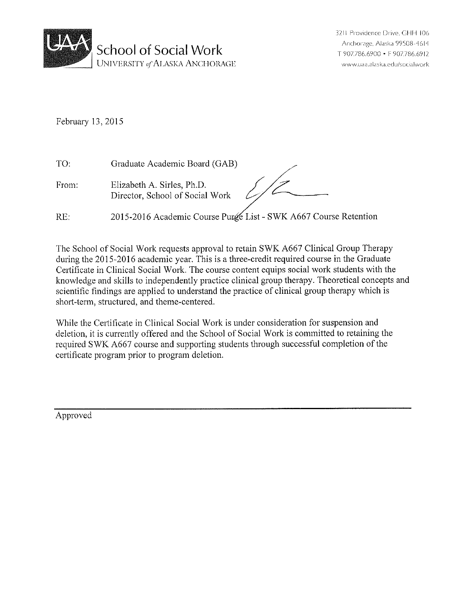

February 13, 2015

| TO:   | Graduate Academic Board (GAB)                                    |
|-------|------------------------------------------------------------------|
| From: | Elizabeth A. Sirles, Ph.D.<br>Director, School of Social Work    |
| RE.   | 2015-2016 Academic Course Purge List - SWK A667 Course Retention |

The School of Social Work requests approval to retain SWK A667 Clinical Group Therapy during the 2015-2016 academic year. This is a three-credit required course in the Graduate Certificate in Clinical Social Work. The course content equips social work students with the knowledge and skills to independently practice clinical group therapy. Theoretical concepts and scientific findings are applied to understand the practice of clinical group therapy which is short-term, structured, and theme-centered.

While the Certificate in Clinical Social Work is under consideration for suspension and deletion, it is currently offered and the School of Social Work is committed to retaining the required SWK A667 course and supporting students through successful completion of the certificate program prior to program deletion.

Approved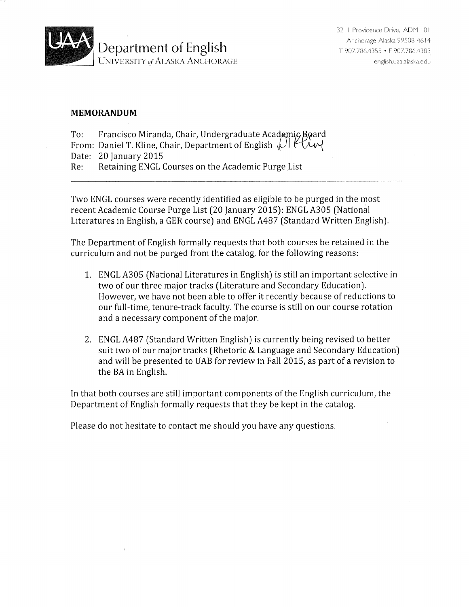

## **MEMORANDUM**

Francisco Miranda, Chair, Undergraduate Academic Board To: From: Daniel T. Kline, Chair, Department of English  $\mathcal{V}$  |  $\mathcal{V}$ Date: 20 January 2015 Retaining ENGL Courses on the Academic Purge List Re:

Two ENGL courses were recently identified as eligible to be purged in the most recent Academic Course Purge List (20 January 2015): ENGL A305 (National Literatures in English, a GER course) and ENGL A487 (Standard Written English).

The Department of English formally requests that both courses be retained in the curriculum and not be purged from the catalog, for the following reasons:

- 1. ENGL A305 (National Literatures in English) is still an important selective in two of our three major tracks (Literature and Secondary Education). However, we have not been able to offer it recently because of reductions to our full-time, tenure-track faculty. The course is still on our course rotation and a necessary component of the major.
- 2. ENGL A487 (Standard Written English) is currently being revised to better suit two of our major tracks (Rhetoric & Language and Secondary Education) and will be presented to UAB for review in Fall 2015, as part of a revision to the BA in English.

In that both courses are still important components of the English curriculum, the Department of English formally requests that they be kept in the catalog.

Please do not hesitate to contact me should you have any questions.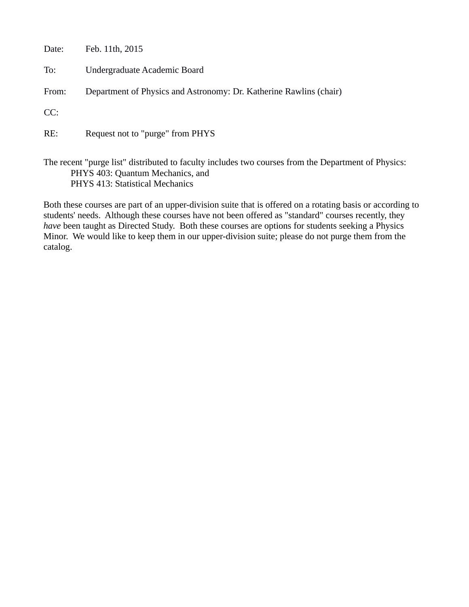Date: Feb. 11th, 2015

To: Undergraduate Academic Board

From: Department of Physics and Astronomy: Dr. Katherine Rawlins (chair)

CC:

RE: Request not to "purge" from PHYS

# The recent "purge list" distributed to faculty includes two courses from the Department of Physics: PHYS 403: Quantum Mechanics, and PHYS 413: Statistical Mechanics

Both these courses are part of an upper-division suite that is offered on a rotating basis or according to students' needs. Although these courses have not been offered as "standard" courses recently, they *have* been taught as Directed Study. Both these courses are options for students seeking a Physics Minor. We would like to keep them in our upper-division suite; please do not purge them from the catalog.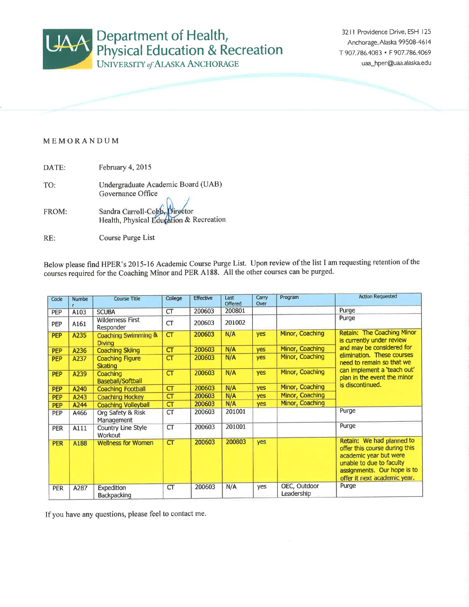

Department of Health,<br>Physical Education & Recreation<br>UNIVERSITY of ALASKA ANCHORAGE

3211 Providence Drive, ESH 125 Anchorage, Alaska 99508-4614 T 907.786.4083 • F 907.786.4069 uaa\_hper@uaa.alaska.edu

#### MEMORANDUM

| DATE: | February 4, 2015                                                         |
|-------|--------------------------------------------------------------------------|
| TO:   | Undergraduate Academic Board (UAB)<br>Governance Office                  |
| FROM: | Sandra Carroll-Cobb, Director<br>Health, Physical Education & Recreation |
| RE:   | Course Purge List                                                        |

Below please find HPER's 2015-16 Academic Course Purge List. Upon review of the list I am requesting retention of the courses required for the Coaching Minor and PER A188. All the other courses can be purged.

| Code       | <b>Numbe</b> | <b>Course Title</b>                             | College | <b>Effective</b> | Last<br><b>Offered</b> | Carry<br>Over | Program                    | <b>Action Requested</b>                                                                                                                                                         |
|------------|--------------|-------------------------------------------------|---------|------------------|------------------------|---------------|----------------------------|---------------------------------------------------------------------------------------------------------------------------------------------------------------------------------|
| PEP        | A103         | <b>SCUBA</b>                                    | CT      | 200603           | 200801                 |               |                            | Purge                                                                                                                                                                           |
| PEP        | A161         | <b>Wilderness First</b><br>Responder            | CT      | 200603           | 201002                 |               |                            | Purge                                                                                                                                                                           |
| PEP        | A235         | <b>Coaching Swimming &amp;</b><br><b>Diving</b> | CT      | 200603           | N/A                    | yes           | Minor, Coaching            | Retain: The Coaching Minor<br>is currently under review                                                                                                                         |
| <b>PEP</b> | A236         | <b>Coaching Skiing</b>                          | CT      | 200603           | N/A                    | <b>yes</b>    | Minor, Coaching            | and may be considered for                                                                                                                                                       |
| <b>PEP</b> | A237         | <b>Coaching Figure</b><br><b>Skating</b>        | CT      | 200603           | N/A                    | yes           | Minor, Coaching            | elimination. These courses<br>need to remain so that we                                                                                                                         |
| <b>PEP</b> | A239         | Coaching<br>Baseball/Softball                   | CT      | 200603           | N/A                    | yes           | Minor, Coaching            | can implement a 'teach out'<br>plan in the event the minor                                                                                                                      |
| <b>PEP</b> | A240         | <b>Coaching Football</b>                        | CT      | 200603           | N/A                    | yes           | Minor, Coaching            | is discontinued.                                                                                                                                                                |
| <b>PEP</b> | A243         | <b>Coaching Hockey</b>                          | CT      | 200603           | N/A                    | <b>ves</b>    | Minor, Coaching            |                                                                                                                                                                                 |
| <b>PEP</b> | A244         | <b>Coaching Volleyball</b>                      | CT      | 200603           | N/A                    | yes           | Minor, Coaching            |                                                                                                                                                                                 |
| <b>PEP</b> | A466         | Org Safety & Risk<br>Management                 | CT      | 200603           | 201001                 |               |                            | Purge                                                                                                                                                                           |
| <b>PER</b> | A111         | Country Line Style<br>Workout                   | CT      | 200603           | 201001                 |               |                            | Purge                                                                                                                                                                           |
| <b>PER</b> | A188         | <b>Wellness for Women</b>                       | CT      | 200603           | 200803                 | yes           |                            | Retain: We had planned to<br>offer this course during this<br>academic year but were<br>unable to due to faculty<br>assignments. Our hope is to<br>offer it next academic year. |
| <b>PER</b> | A287         | <b>Expedition</b><br><b>Backpacking</b>         | CT      | 200603           | N/A                    | yes           | OEC, Outdoor<br>Leadership | Purge                                                                                                                                                                           |

If you have any questions, please feel to contact me.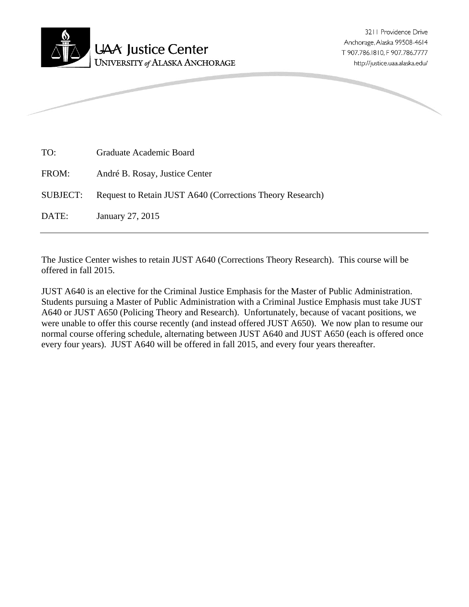

| Graduate Academic Board                                   |
|-----------------------------------------------------------|
| André B. Rosay, Justice Center                            |
| Request to Retain JUST A640 (Corrections Theory Research) |
| January 27, 2015                                          |
|                                                           |

The Justice Center wishes to retain JUST A640 (Corrections Theory Research). This course will be offered in fall 2015.

JUST A640 is an elective for the Criminal Justice Emphasis for the Master of Public Administration. Students pursuing a Master of Public Administration with a Criminal Justice Emphasis must take JUST A640 or JUST A650 (Policing Theory and Research). Unfortunately, because of vacant positions, we were unable to offer this course recently (and instead offered JUST A650). We now plan to resume our normal course offering schedule, alternating between JUST A640 and JUST A650 (each is offered once every four years). JUST A640 will be offered in fall 2015, and every four years thereafter.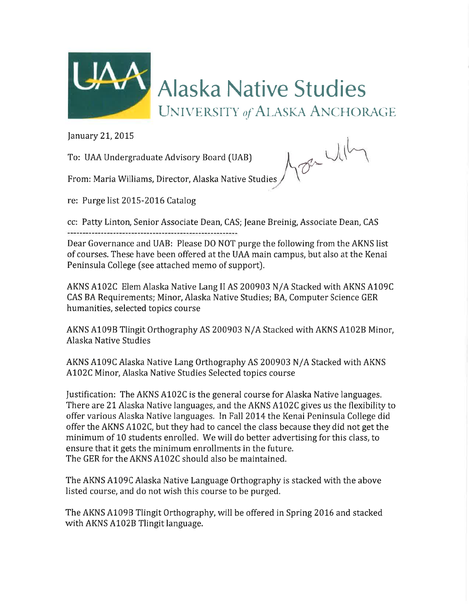

January 21, 2015

To: UAA Undergraduate Advisory Board (UAB)

Mon Willy

From: Maria Williams, Director, Alaska Native Studies

re: Purge list 2015-2016 Catalog

cc: Patty Linton, Senior Associate Dean, CAS; Jeane Breinig, Associate Dean, CAS 

Dear Governance and UAB: Please DO NOT purge the following from the AKNS list of courses. These have been offered at the UAA main campus, but also at the Kenai Peninsula College (see attached memo of support).

AKNS A102C Elem Alaska Native Lang II AS 200903 N/A Stacked with AKNS A109C CAS BA Requirements; Minor, Alaska Native Studies; BA, Computer Science GER humanities, selected topics course

AKNS A109B Tlingit Orthography AS 200903 N/A Stacked with AKNS A102B Minor, Alaska Native Studies

AKNS A109C Alaska Native Lang Orthography AS 200903 N/A Stacked with AKNS A102C Minor, Alaska Native Studies Selected topics course

Justification: The AKNS A102C is the general course for Alaska Native languages. There are 21 Alaska Native languages, and the AKNS A102C gives us the flexibility to offer various Alaska Native languages. In Fall 2014 the Kenai Peninsula College did offer the AKNS A102C, but they had to cancel the class because they did not get the minimum of 10 students enrolled. We will do better advertising for this class, to ensure that it gets the minimum enrollments in the future. The GER for the AKNS A102C should also be maintained.

The AKNS A109C Alaska Native Language Orthography is stacked with the above listed course, and do not wish this course to be purged.

The AKNS A109B Tlingit Orthography, will be offered in Spring 2016 and stacked with AKNS A102B Tlingit language.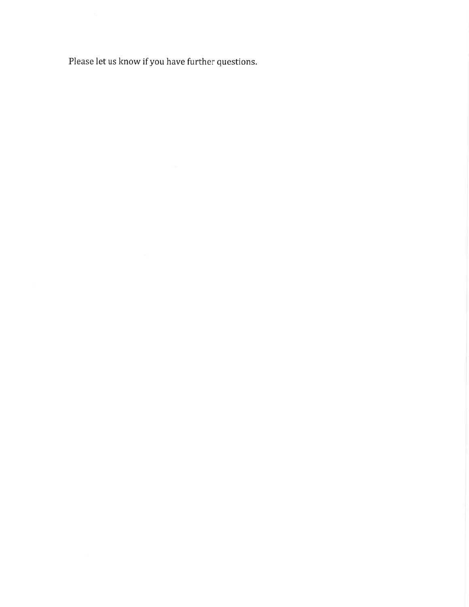Please let us know if you have further questions.